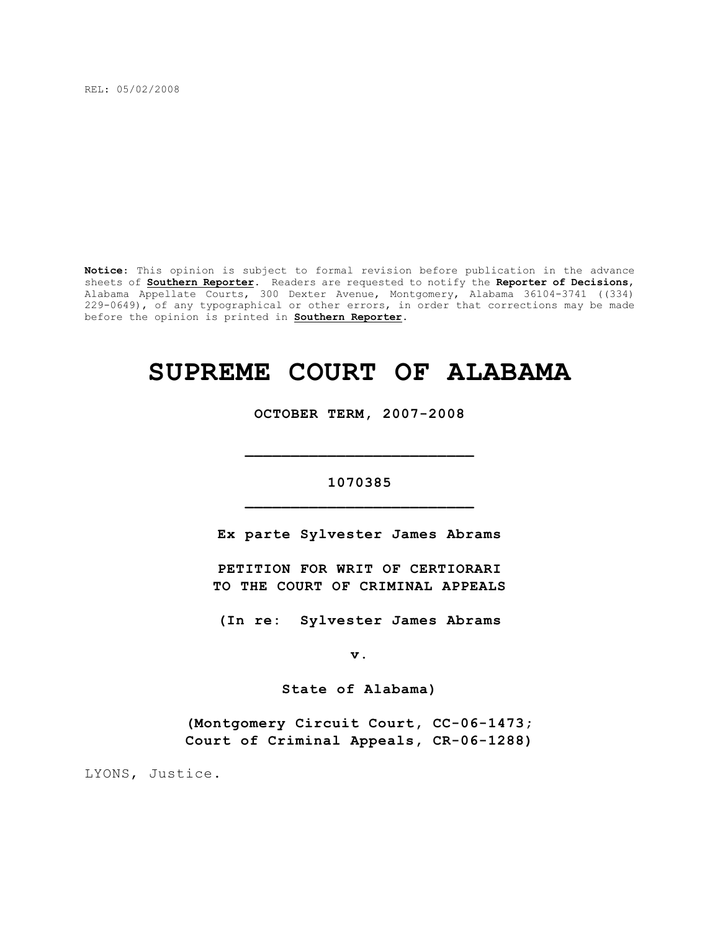REL: 05/02/2008

**Notice**: This opinion is subject to formal revision before publication in the advance sheets of **Southern Reporter**. Readers are requested to notify the **Reporter of Decisions**, Alabama Appellate Courts, 300 Dexter Avenue, Montgomery, Alabama 36104-3741 ((334) 229-0649), of any typographical or other errors, in order that corrections may be made before the opinion is printed in **Southern Reporter**.

# **SUPREME COURT OF ALABAMA**

**OCTOBER TERM, 2007-2008**

# **1070385 \_\_\_\_\_\_\_\_\_\_\_\_\_\_\_\_\_\_\_\_\_\_\_\_\_**

**\_\_\_\_\_\_\_\_\_\_\_\_\_\_\_\_\_\_\_\_\_\_\_\_\_**

**Ex parte Sylvester James Abrams**

**PETITION FOR WRIT OF CERTIORARI TO THE COURT OF CRIMINAL APPEALS**

**(In re: Sylvester James Abrams**

**v.**

**State of Alabama)**

**(Montgomery Circuit Court, CC-06-1473; Court of Criminal Appeals, CR-06-1288)**

LYONS, Justice.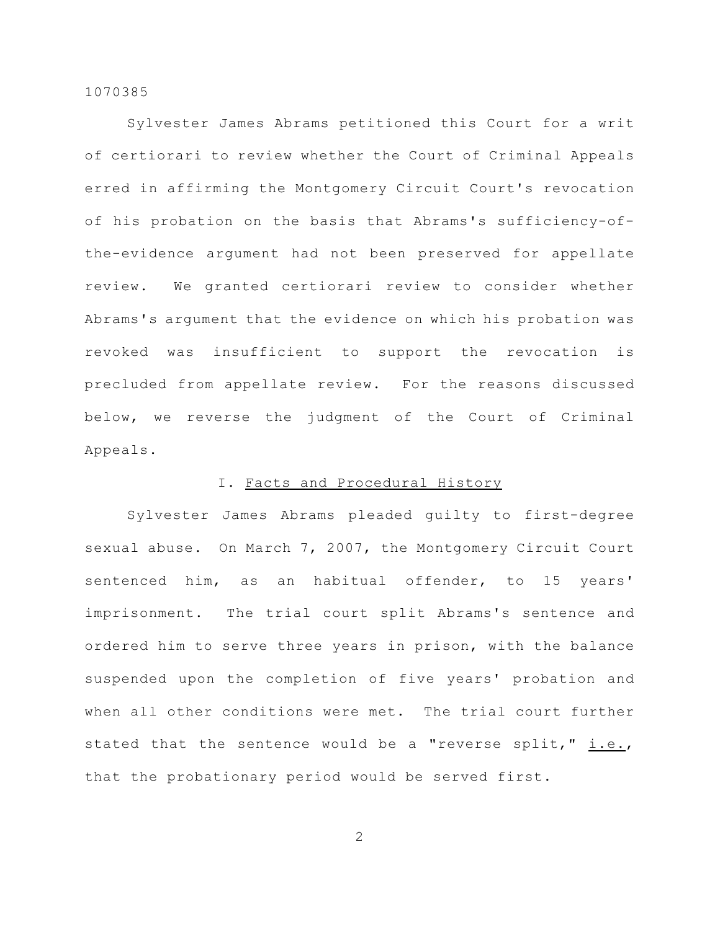Sylvester James Abrams petitioned this Court for a writ of certiorari to review whether the Court of Criminal Appeals erred in affirming the Montgomery Circuit Court's revocation of his probation on the basis that Abrams's sufficiency-ofthe-evidence argument had not been preserved for appellate review. We granted certiorari review to consider whether Abrams's argument that the evidence on which his probation was revoked was insufficient to support the revocation is precluded from appellate review. For the reasons discussed below, we reverse the judgment of the Court of Criminal Appeals.

# I. Facts and Procedural History

Sylvester James Abrams pleaded guilty to first-degree sexual abuse. On March 7, 2007, the Montgomery Circuit Court sentenced him, as an habitual offender, to 15 years' imprisonment. The trial court split Abrams's sentence and ordered him to serve three years in prison, with the balance suspended upon the completion of five years' probation and when all other conditions were met. The trial court further stated that the sentence would be a "reverse split," i.e., that the probationary period would be served first.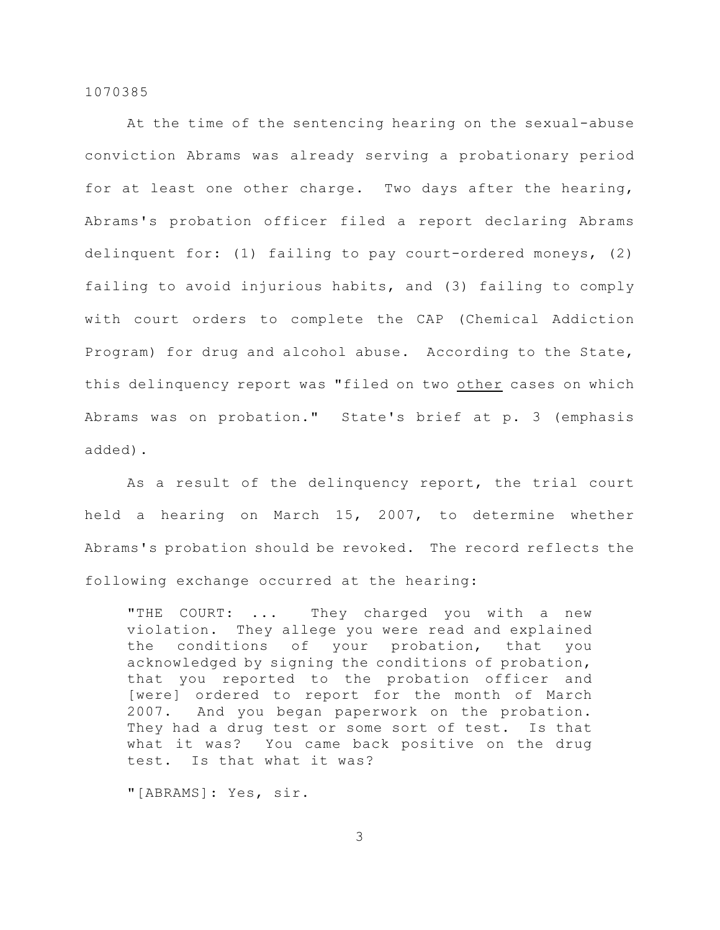At the time of the sentencing hearing on the sexual-abuse conviction Abrams was already serving a probationary period for at least one other charge. Two days after the hearing, Abrams's probation officer filed a report declaring Abrams delinquent for: (1) failing to pay court-ordered moneys, (2) failing to avoid injurious habits, and (3) failing to comply with court orders to complete the CAP (Chemical Addiction Program) for drug and alcohol abuse. According to the State, this delinquency report was "filed on two other cases on which Abrams was on probation." State's brief at p. 3 (emphasis added).

As a result of the delinquency report, the trial court held a hearing on March 15, 2007, to determine whether Abrams's probation should be revoked. The record reflects the following exchange occurred at the hearing:

"THE COURT: ... They charged you with a new violation. They allege you were read and explained the conditions of your probation, that you acknowledged by signing the conditions of probation, that you reported to the probation officer and [were] ordered to report for the month of March 2007. And you began paperwork on the probation. They had a drug test or some sort of test. Is that what it was? You came back positive on the drug test. Is that what it was?

"[ABRAMS]: Yes, sir.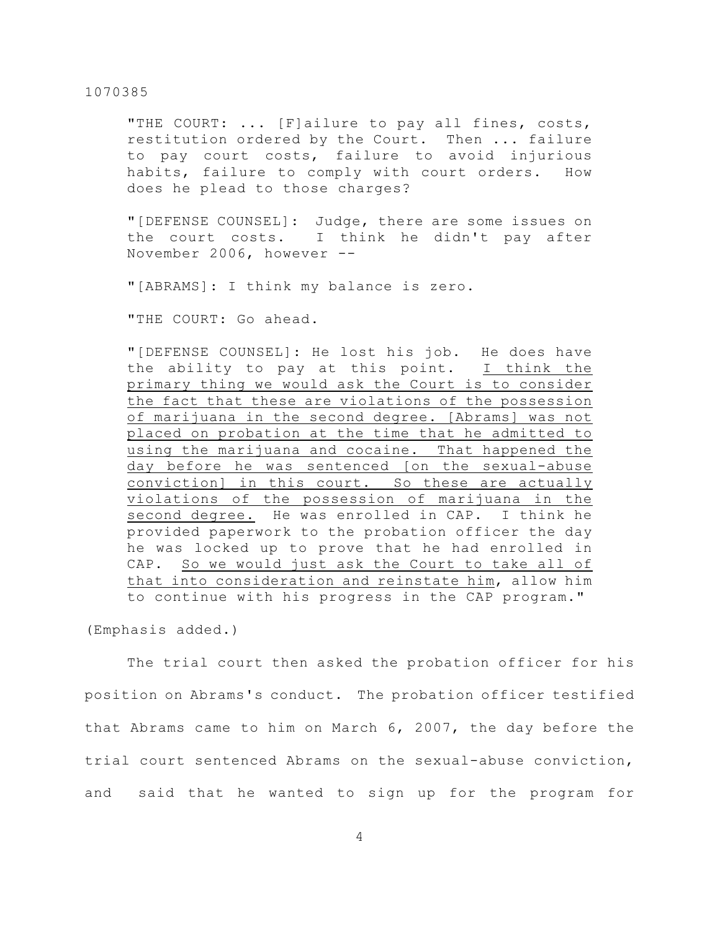"THE COURT: ... [F]ailure to pay all fines, costs, restitution ordered by the Court. Then ... failure to pay court costs, failure to avoid injurious habits, failure to comply with court orders. How does he plead to those charges?

"[DEFENSE COUNSEL]: Judge, there are some issues on the court costs. I think he didn't pay after November 2006, however --

"[ABRAMS]: I think my balance is zero.

"THE COURT: Go ahead.

"[DEFENSE COUNSEL]: He lost his job. He does have the ability to pay at this point. I think the primary thing we would ask the Court is to consider the fact that these are violations of the possession of marijuana in the second degree. [Abrams] was not placed on probation at the time that he admitted to using the marijuana and cocaine. That happened the day before he was sentenced [on the sexual-abuse conviction] in this court. So these are actually violations of the possession of marijuana in the second degree. He was enrolled in CAP. I think he provided paperwork to the probation officer the day he was locked up to prove that he had enrolled in CAP. So we would just ask the Court to take all of that into consideration and reinstate him, allow him to continue with his progress in the CAP program."

(Emphasis added.)

The trial court then asked the probation officer for his position on Abrams's conduct. The probation officer testified that Abrams came to him on March 6, 2007, the day before the trial court sentenced Abrams on the sexual-abuse conviction, and said that he wanted to sign up for the program for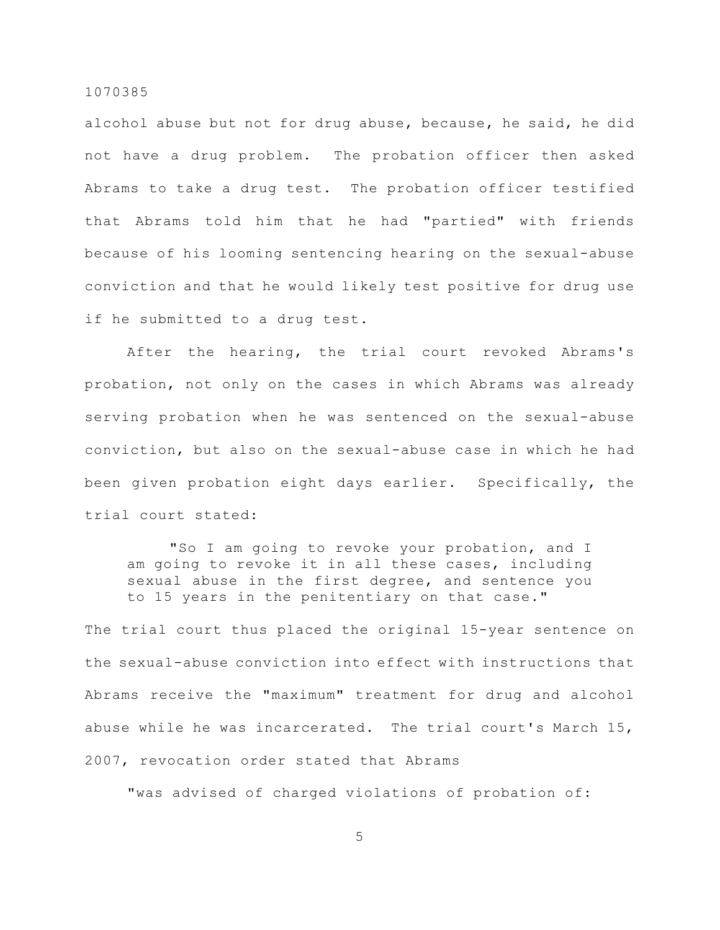alcohol abuse but not for drug abuse, because, he said, he did not have a drug problem. The probation officer then asked Abrams to take a drug test. The probation officer testified that Abrams told him that he had "partied" with friends because of his looming sentencing hearing on the sexual-abuse conviction and that he would likely test positive for drug use if he submitted to a drug test.

After the hearing, the trial court revoked Abrams's probation, not only on the cases in which Abrams was already serving probation when he was sentenced on the sexual-abuse conviction, but also on the sexual-abuse case in which he had been given probation eight days earlier. Specifically, the trial court stated:

"So I am going to revoke your probation, and I am going to revoke it in all these cases, including sexual abuse in the first degree, and sentence you to 15 years in the penitentiary on that case."

The trial court thus placed the original 15-year sentence on the sexual-abuse conviction into effect with instructions that Abrams receive the "maximum" treatment for drug and alcohol abuse while he was incarcerated. The trial court's March 15, 2007, revocation order stated that Abrams

"was advised of charged violations of probation of: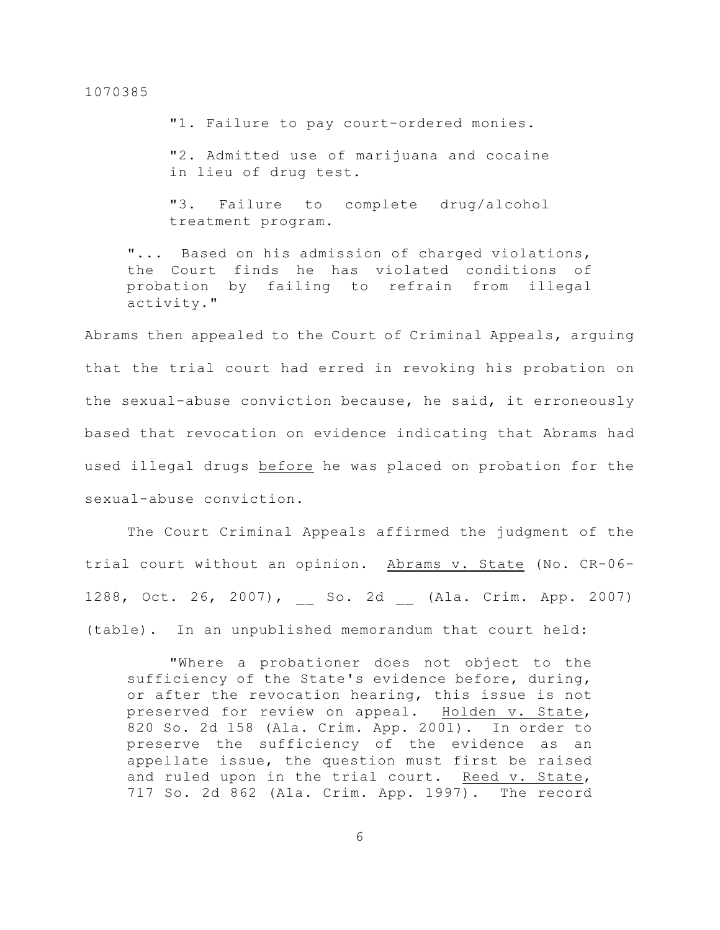"1. Failure to pay court-ordered monies.

"2. Admitted use of marijuana and cocaine in lieu of drug test.

"3. Failure to complete drug/alcohol treatment program.

"... Based on his admission of charged violations, the Court finds he has violated conditions of probation by failing to refrain from illegal activity."

Abrams then appealed to the Court of Criminal Appeals, arguing that the trial court had erred in revoking his probation on the sexual-abuse conviction because, he said, it erroneously based that revocation on evidence indicating that Abrams had used illegal drugs before he was placed on probation for the sexual-abuse conviction.

The Court Criminal Appeals affirmed the judgment of the trial court without an opinion. Abrams v. State (No. CR-06- 1288, Oct. 26, 2007), \_\_ So. 2d \_\_ (Ala. Crim. App. 2007) (table). In an unpublished memorandum that court held:

"Where a probationer does not object to the sufficiency of the State's evidence before, during, or after the revocation hearing, this issue is not preserved for review on appeal. Holden v. State, 820 So. 2d 158 (Ala. Crim. App. 2001). In order to preserve the sufficiency of the evidence as an appellate issue, the question must first be raised and ruled upon in the trial court. Reed v. State, 717 So. 2d 862 (Ala. Crim. App. 1997). The record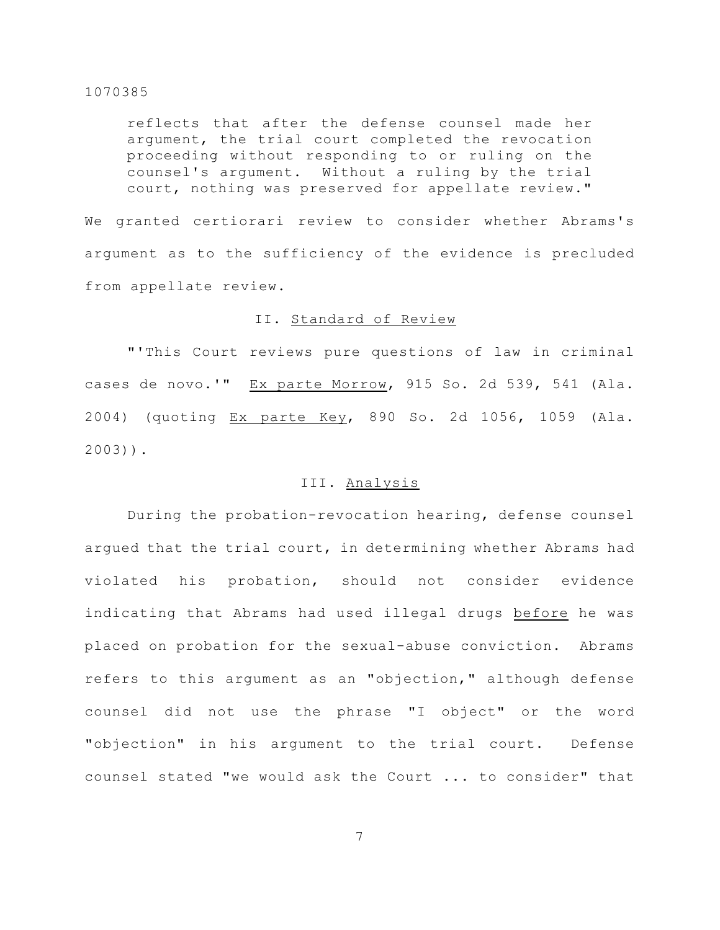reflects that after the defense counsel made her argument, the trial court completed the revocation proceeding without responding to or ruling on the counsel's argument. Without a ruling by the trial court, nothing was preserved for appellate review."

We granted certiorari review to consider whether Abrams's argument as to the sufficiency of the evidence is precluded from appellate review.

# II. Standard of Review

"'This Court reviews pure questions of law in criminal cases de novo.'" Ex parte Morrow, 915 So. 2d 539, 541 (Ala. 2004) (quoting Ex parte Key, 890 So. 2d 1056, 1059 (Ala. 2003)).

# III. Analysis

During the probation-revocation hearing, defense counsel argued that the trial court, in determining whether Abrams had violated his probation, should not consider evidence indicating that Abrams had used illegal drugs before he was placed on probation for the sexual-abuse conviction. Abrams refers to this argument as an "objection," although defense counsel did not use the phrase "I object" or the word "objection" in his argument to the trial court. Defense counsel stated "we would ask the Court ... to consider" that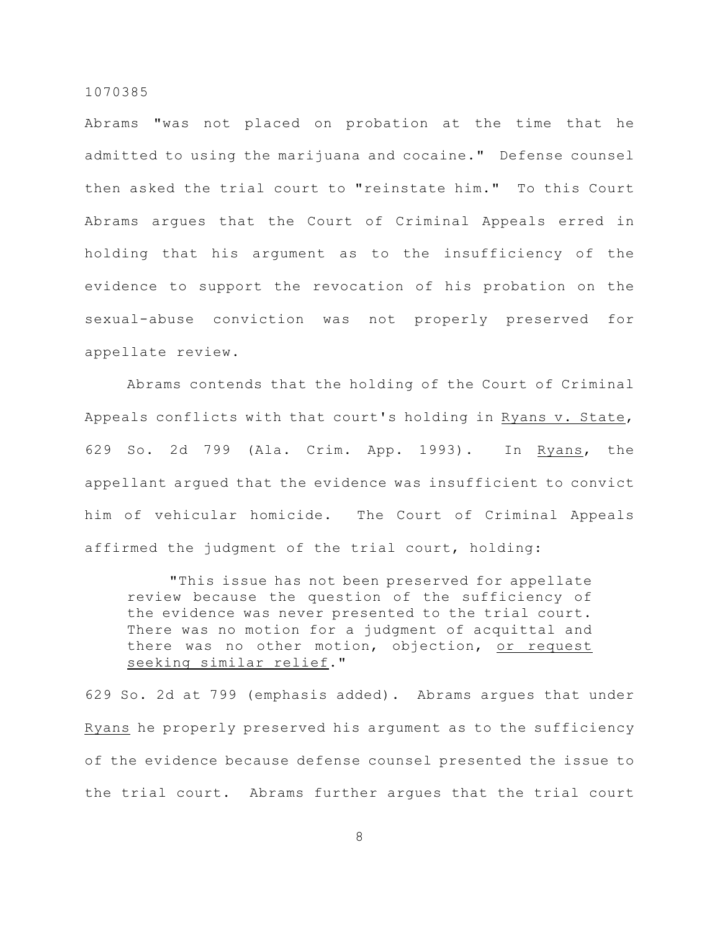Abrams "was not placed on probation at the time that he admitted to using the marijuana and cocaine." Defense counsel then asked the trial court to "reinstate him." To this Court Abrams argues that the Court of Criminal Appeals erred in holding that his argument as to the insufficiency of the evidence to support the revocation of his probation on the sexual-abuse conviction was not properly preserved for appellate review.

Abrams contends that the holding of the Court of Criminal Appeals conflicts with that court's holding in Ryans v. State, 629 So. 2d 799 (Ala. Crim. App. 1993). In Ryans, the appellant argued that the evidence was insufficient to convict him of vehicular homicide. The Court of Criminal Appeals affirmed the judgment of the trial court, holding:

"This issue has not been preserved for appellate review because the question of the sufficiency of the evidence was never presented to the trial court. There was no motion for a judgment of acquittal and there was no other motion, objection, or request seeking similar relief."

629 So. 2d at 799 (emphasis added). Abrams argues that under Ryans he properly preserved his argument as to the sufficiency of the evidence because defense counsel presented the issue to the trial court. Abrams further argues that the trial court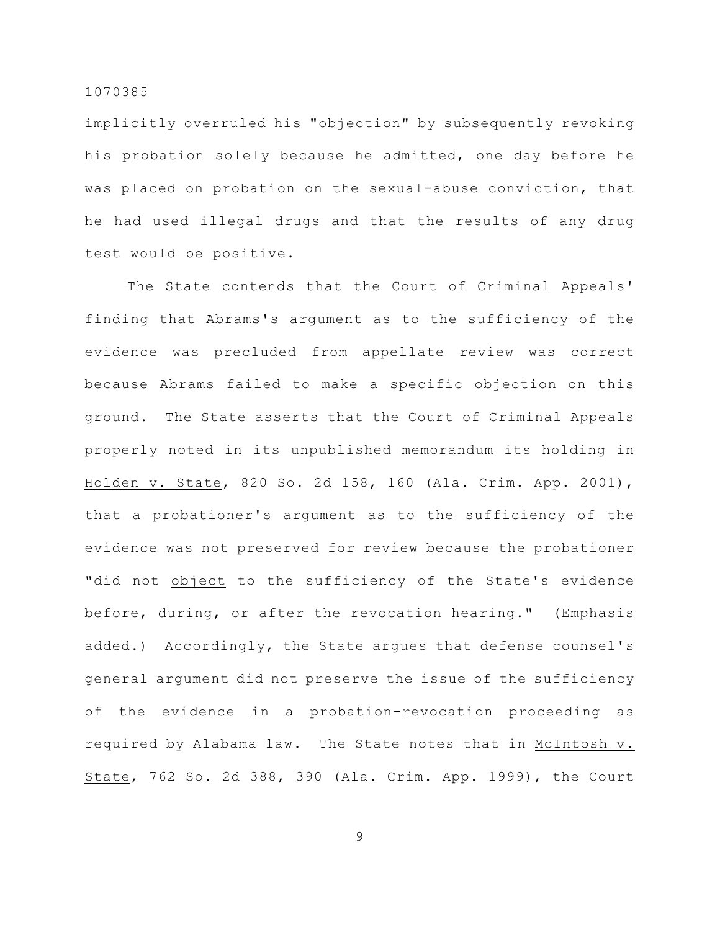implicitly overruled his "objection" by subsequently revoking his probation solely because he admitted, one day before he was placed on probation on the sexual-abuse conviction, that he had used illegal drugs and that the results of any drug test would be positive.

The State contends that the Court of Criminal Appeals' finding that Abrams's argument as to the sufficiency of the evidence was precluded from appellate review was correct because Abrams failed to make a specific objection on this ground. The State asserts that the Court of Criminal Appeals properly noted in its unpublished memorandum its holding in Holden v. State, 820 So. 2d 158, 160 (Ala. Crim. App. 2001), that a probationer's argument as to the sufficiency of the evidence was not preserved for review because the probationer "did not object to the sufficiency of the State's evidence before, during, or after the revocation hearing." (Emphasis added.) Accordingly, the State argues that defense counsel's general argument did not preserve the issue of the sufficiency of the evidence in a probation-revocation proceeding as required by Alabama law. The State notes that in McIntosh v. State, 762 So. 2d 388, 390 (Ala. Crim. App. 1999), the Court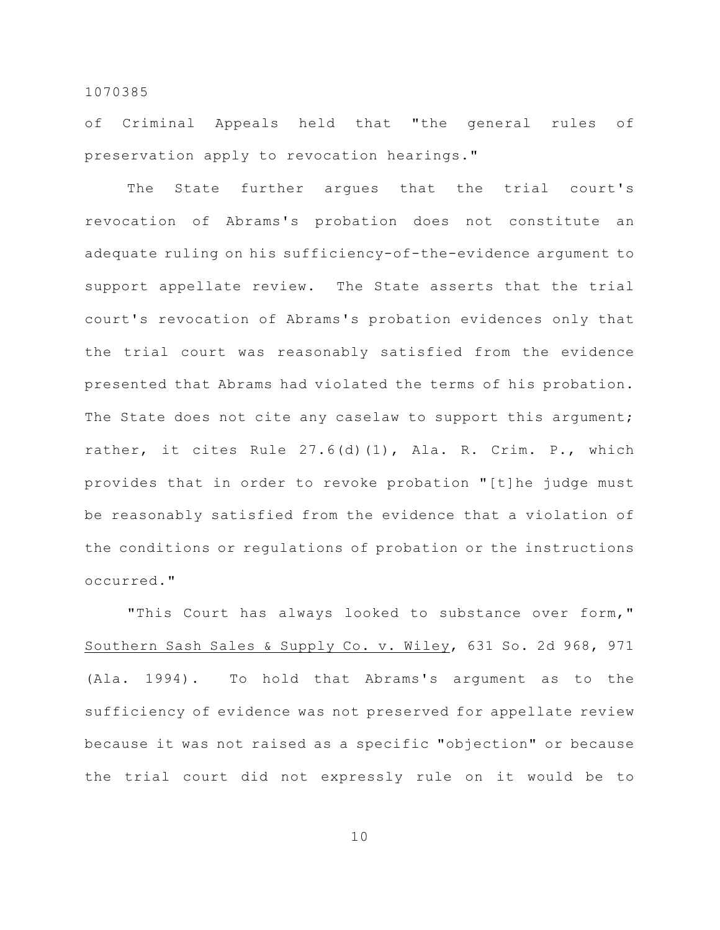of Criminal Appeals held that "the general rules of preservation apply to revocation hearings."

The State further argues that the trial court's revocation of Abrams's probation does not constitute an adequate ruling on his sufficiency-of-the-evidence argument to support appellate review. The State asserts that the trial court's revocation of Abrams's probation evidences only that the trial court was reasonably satisfied from the evidence presented that Abrams had violated the terms of his probation. The State does not cite any caselaw to support this argument; rather, it cites Rule 27.6(d)(1), Ala. R. Crim. P., which provides that in order to revoke probation "[t]he judge must be reasonably satisfied from the evidence that a violation of the conditions or regulations of probation or the instructions occurred."

"This Court has always looked to substance over form," Southern Sash Sales & Supply Co. v. Wiley, 631 So. 2d 968, 971 (Ala. 1994). To hold that Abrams's argument as to the sufficiency of evidence was not preserved for appellate review because it was not raised as a specific "objection" or because the trial court did not expressly rule on it would be to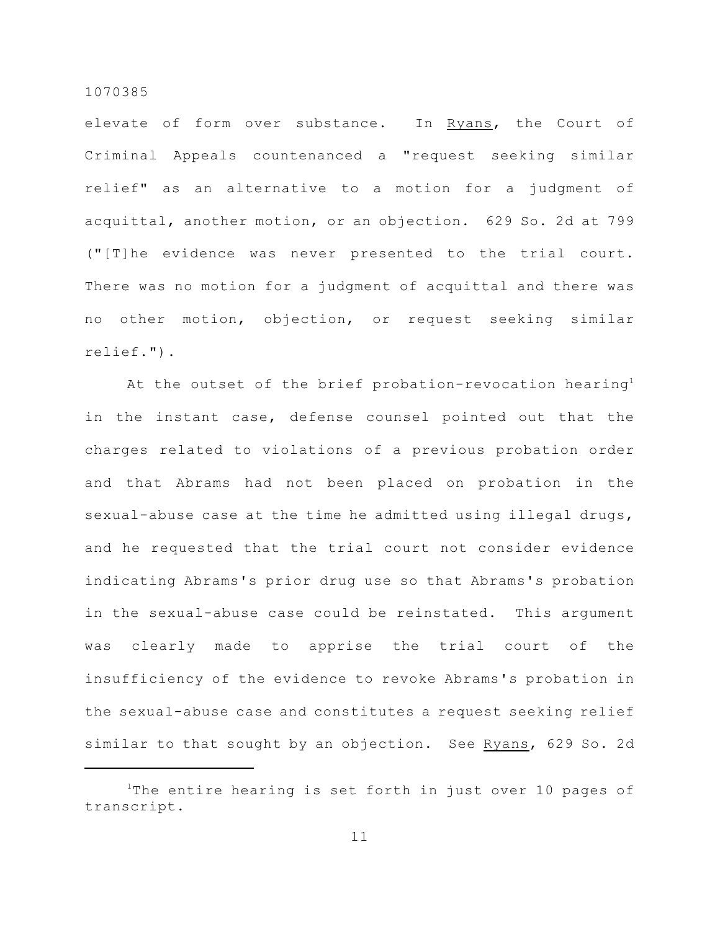elevate of form over substance. In Ryans, the Court of Criminal Appeals countenanced a "request seeking similar relief" as an alternative to a motion for a judgment of acquittal, another motion, or an objection. 629 So. 2d at 799 ("[T]he evidence was never presented to the trial court. There was no motion for a judgment of acquittal and there was no other motion, objection, or request seeking similar relief.").

At the outset of the brief probation-revocation hearing<sup>1</sup> in the instant case, defense counsel pointed out that the charges related to violations of a previous probation order and that Abrams had not been placed on probation in the sexual-abuse case at the time he admitted using illegal drugs, and he requested that the trial court not consider evidence indicating Abrams's prior drug use so that Abrams's probation in the sexual-abuse case could be reinstated. This argument was clearly made to apprise the trial court of the insufficiency of the evidence to revoke Abrams's probation in the sexual-abuse case and constitutes a request seeking relief similar to that sought by an objection. See Ryans, 629 So. 2d

<sup>&</sup>lt;sup>1</sup>The entire hearing is set forth in just over 10 pages of transcript.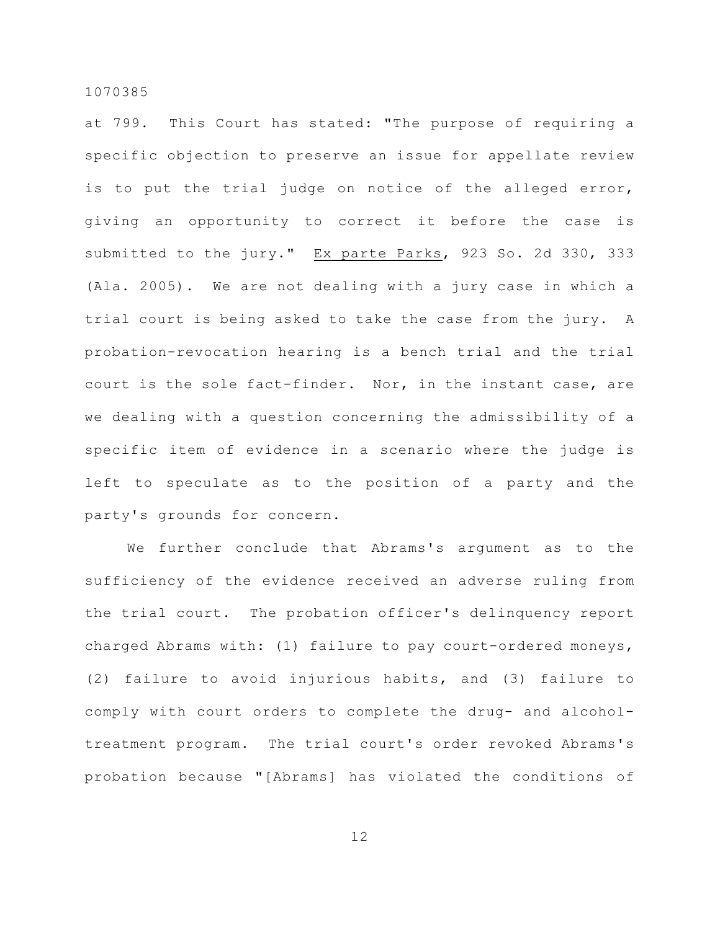at 799. This Court has stated: "The purpose of requiring a specific objection to preserve an issue for appellate review is to put the trial judge on notice of the alleged error, giving an opportunity to correct it before the case is submitted to the jury." Ex parte Parks, 923 So. 2d 330, 333 (Ala. 2005). We are not dealing with a jury case in which a trial court is being asked to take the case from the jury. A probation-revocation hearing is a bench trial and the trial court is the sole fact-finder. Nor, in the instant case, are we dealing with a question concerning the admissibility of a specific item of evidence in a scenario where the judge is left to speculate as to the position of a party and the party's grounds for concern.

We further conclude that Abrams's argument as to the sufficiency of the evidence received an adverse ruling from the trial court. The probation officer's delinquency report charged Abrams with: (1) failure to pay court-ordered moneys, (2) failure to avoid injurious habits, and (3) failure to comply with court orders to complete the drug- and alcoholtreatment program. The trial court's order revoked Abrams's probation because "[Abrams] has violated the conditions of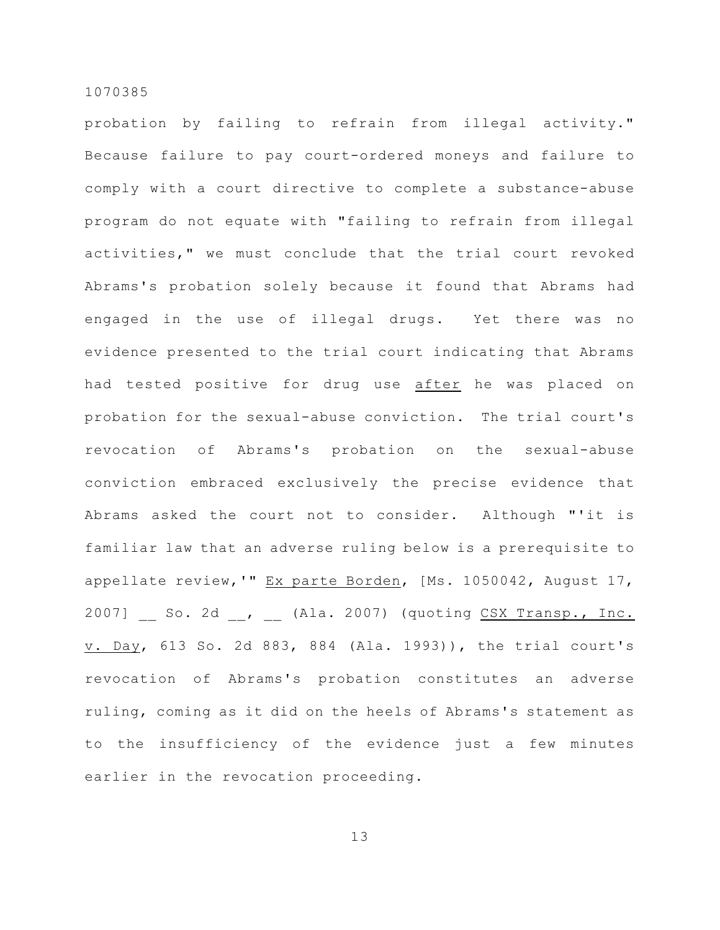probation by failing to refrain from illegal activity." Because failure to pay court-ordered moneys and failure to comply with a court directive to complete a substance-abuse program do not equate with "failing to refrain from illegal activities," we must conclude that the trial court revoked Abrams's probation solely because it found that Abrams had engaged in the use of illegal drugs. Yet there was no evidence presented to the trial court indicating that Abrams had tested positive for drug use after he was placed on probation for the sexual-abuse conviction. The trial court's revocation of Abrams's probation on the sexual-abuse conviction embraced exclusively the precise evidence that Abrams asked the court not to consider. Although "'it is familiar law that an adverse ruling below is a prerequisite to appellate review, '" Ex parte Borden, [Ms. 1050042, August 17, 2007] So. 2d , (Ala. 2007) (quoting CSX Transp., Inc. v. Day, 613 So. 2d 883, 884 (Ala. 1993)), the trial court's revocation of Abrams's probation constitutes an adverse ruling, coming as it did on the heels of Abrams's statement as to the insufficiency of the evidence just a few minutes earlier in the revocation proceeding.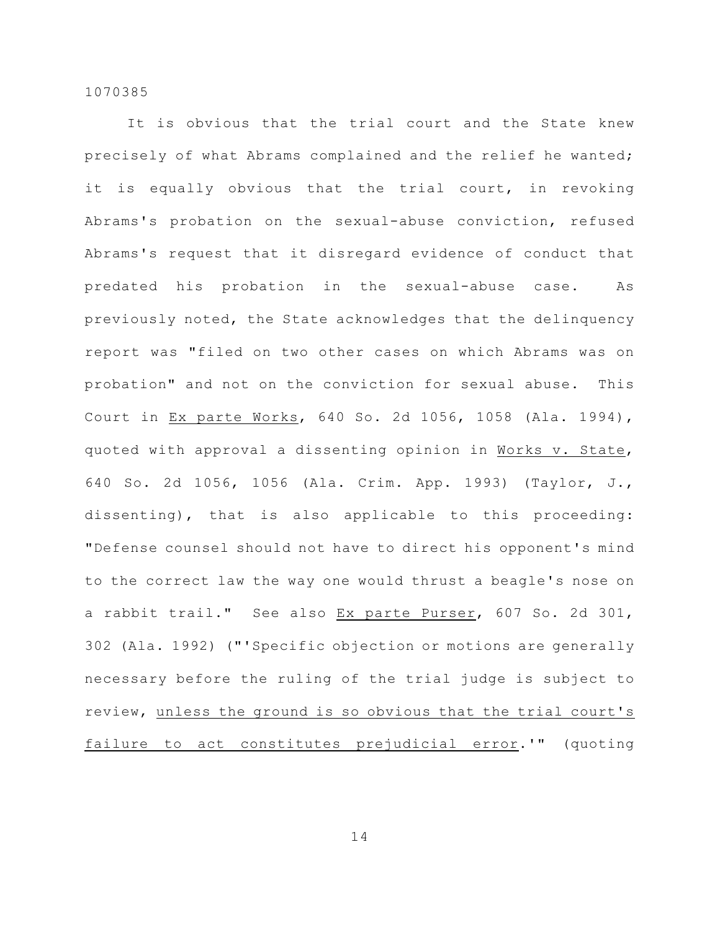It is obvious that the trial court and the State knew precisely of what Abrams complained and the relief he wanted; it is equally obvious that the trial court, in revoking Abrams's probation on the sexual-abuse conviction, refused Abrams's request that it disregard evidence of conduct that predated his probation in the sexual-abuse case. As previously noted, the State acknowledges that the delinquency report was "filed on two other cases on which Abrams was on probation" and not on the conviction for sexual abuse. This Court in Ex parte Works, 640 So. 2d 1056, 1058 (Ala. 1994), quoted with approval a dissenting opinion in Works v. State, 640 So. 2d 1056, 1056 (Ala. Crim. App. 1993) (Taylor, J., dissenting), that is also applicable to this proceeding: "Defense counsel should not have to direct his opponent's mind to the correct law the way one would thrust a beagle's nose on a rabbit trail." See also Ex parte Purser, 607 So. 2d 301, 302 (Ala. 1992) ("'Specific objection or motions are generally necessary before the ruling of the trial judge is subject to review, unless the ground is so obvious that the trial court's failure to act constitutes prejudicial error.'" (quoting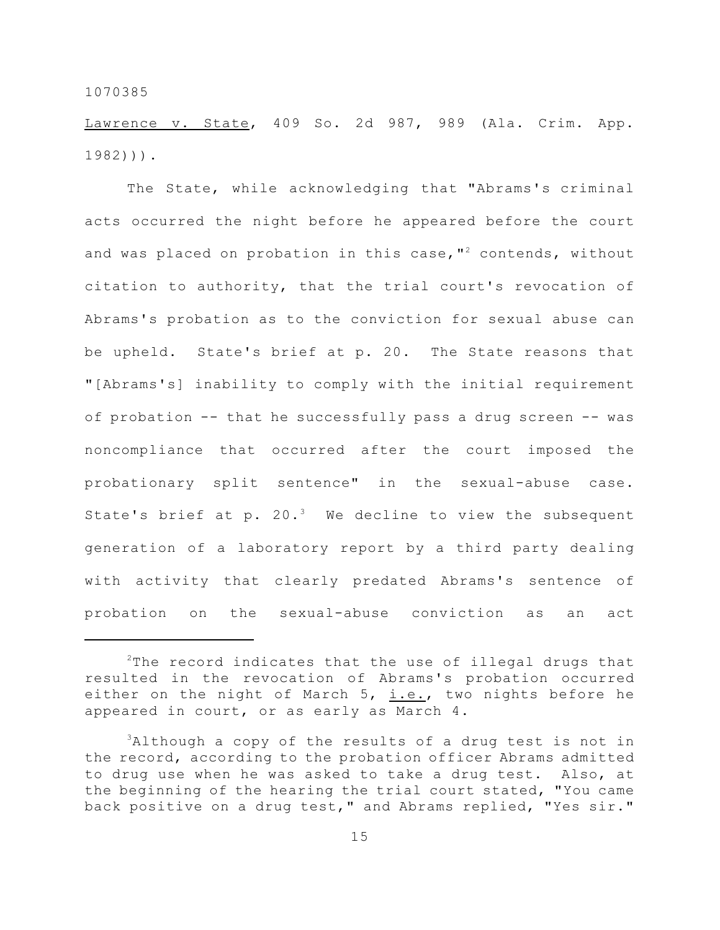Lawrence v. State, 409 So. 2d 987, 989 (Ala. Crim. App. 1982))).

The State, while acknowledging that "Abrams's criminal acts occurred the night before he appeared before the court and was placed on probation in this case,  $I^2$  contends, without citation to authority, that the trial court's revocation of Abrams's probation as to the conviction for sexual abuse can be upheld. State's brief at p. 20. The State reasons that "[Abrams's] inability to comply with the initial requirement of probation -- that he successfully pass a drug screen -- was noncompliance that occurred after the court imposed the probationary split sentence" in the sexual-abuse case. State's brief at p. 20. $3$  We decline to view the subsequent generation of a laboratory report by a third party dealing with activity that clearly predated Abrams's sentence of probation on the sexual-abuse conviction as an act

 $2$ The record indicates that the use of illegal drugs that resulted in the revocation of Abrams's probation occurred either on the night of March  $5$ , i.e., two nights before he appeared in court, or as early as March 4.

 $3$ Although a copy of the results of a drug test is not in the record, according to the probation officer Abrams admitted to drug use when he was asked to take a drug test. Also, at the beginning of the hearing the trial court stated, "You came back positive on a drug test," and Abrams replied, "Yes sir."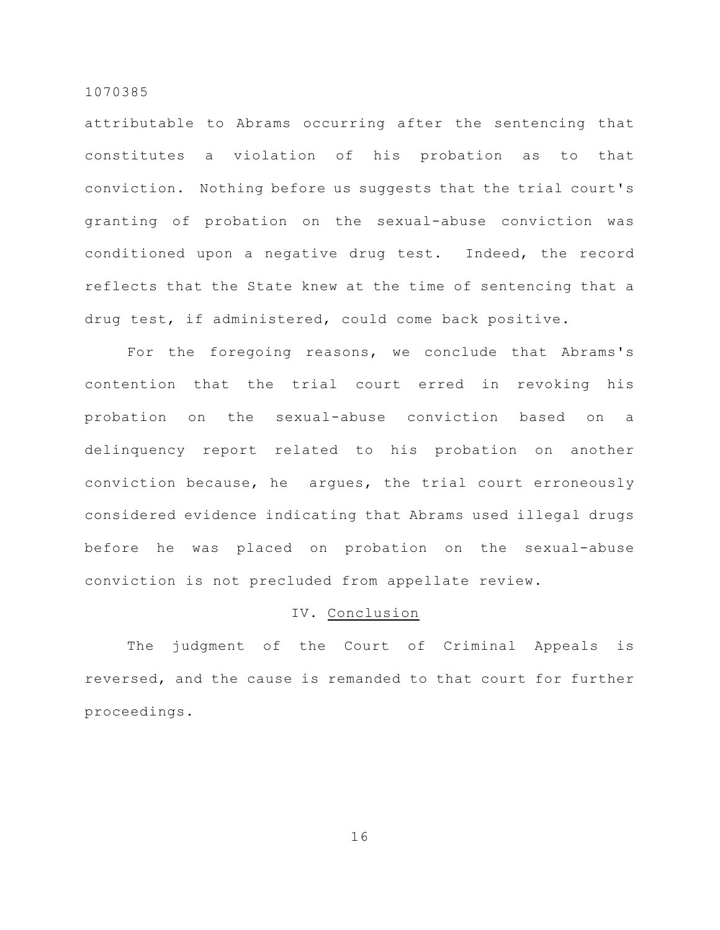attributable to Abrams occurring after the sentencing that constitutes a violation of his probation as to that conviction. Nothing before us suggests that the trial court's granting of probation on the sexual-abuse conviction was conditioned upon a negative drug test. Indeed, the record reflects that the State knew at the time of sentencing that a drug test, if administered, could come back positive.

For the foregoing reasons, we conclude that Abrams's contention that the trial court erred in revoking his probation on the sexual-abuse conviction based on a delinquency report related to his probation on another conviction because, he argues, the trial court erroneously considered evidence indicating that Abrams used illegal drugs before he was placed on probation on the sexual-abuse conviction is not precluded from appellate review.

# IV. Conclusion

The judgment of the Court of Criminal Appeals is reversed, and the cause is remanded to that court for further proceedings.